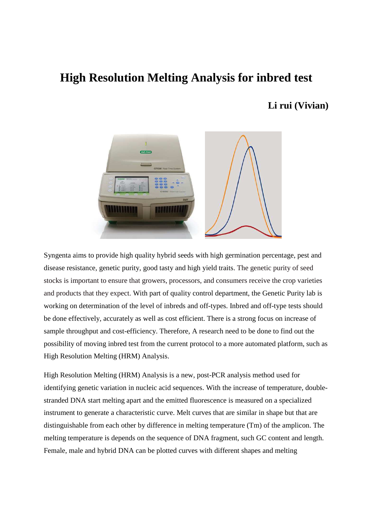## **High Resolution Melting Analysis for inbred test**

## **Li rui (Vivian)**



Syngenta aims to provide high quality hybrid seeds with high germination percentage, pest and disease resistance, genetic purity, good tasty and high yield traits. The genetic purity of seed stocks is important to ensure that growers, processors, and consumers receive the crop varieties and products that they expect. With part of quality control department, the Genetic Purity lab is working on determination of the level of inbreds and off-types. Inbred and off-type tests should be done effectively, accurately as well as cost efficient. There is a strong focus on increase of sample throughput and cost-efficiency. Therefore, A research need to be done to find out the possibility of moving inbred test from the current protocol to a more automated platform, such as High Resolution Melting (HRM) Analysis.

High Resolution Melting (HRM) Analysis is a new, post-PCR analysis method used for identifying genetic variation in nucleic acid sequences. With the increase of temperature, doublestranded DNA start melting apart and the emitted fluorescence is measured on a specialized instrument to generate a characteristic curve. Melt curves that are similar in shape but that are distinguishable from each other by difference in melting temperature (Tm) of the amplicon. The melting temperature is depends on the sequence of DNA fragment, such GC content and length. Female, male and hybrid DNA can be plotted curves with different shapes and melting